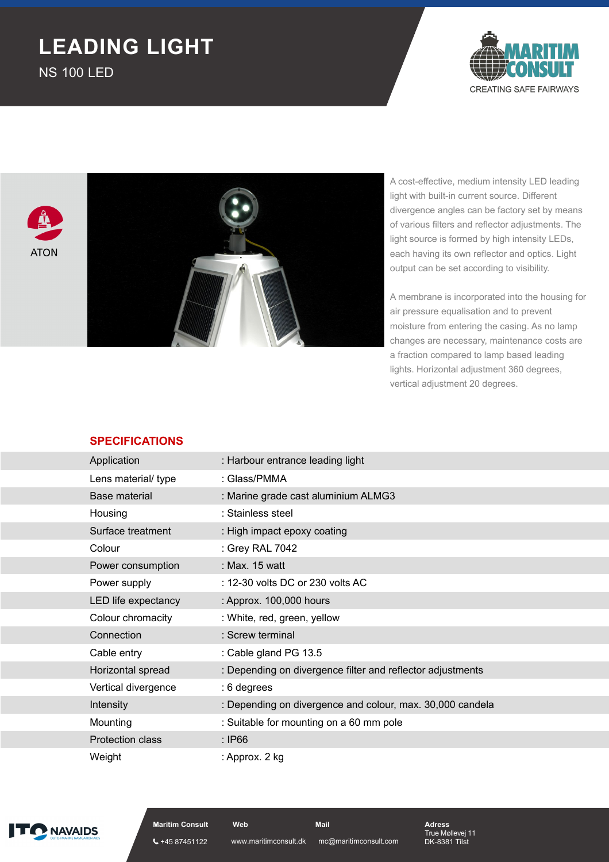## **LEADING LIGHT**

NS 100 LED







A cost-effective, medium intensity LED leading light with built-in current source. Different divergence angles can be factory set by means of various filters and reflector adjustments. The light source is formed by high intensity LEDs, each having its own reflector and optics. Light output can be set according to visibility.

A membrane is incorporated into the housing for air pressure equalisation and to prevent moisture from entering the casing. As no lamp changes are necessary, maintenance costs are a fraction compared to lamp based leading lights. Horizontal adjustment 360 degrees, vertical adjustment 20 degrees.

## **SPECIFICATIONS**

| Application             | : Harbour entrance leading light                           |
|-------------------------|------------------------------------------------------------|
| Lens material/ type     | : Glass/PMMA                                               |
| Base material           | : Marine grade cast aluminium ALMG3                        |
| Housing                 | : Stainless steel                                          |
| Surface treatment       | : High impact epoxy coating                                |
| Colour                  | : Grey RAL 7042                                            |
| Power consumption       | : Max. 15 watt                                             |
| Power supply            | : 12-30 volts DC or 230 volts AC                           |
| LED life expectancy     | : Approx. 100,000 hours                                    |
| Colour chromacity       | : White, red, green, yellow                                |
| Connection              | : Screw terminal                                           |
| Cable entry             | : Cable gland PG 13.5                                      |
| Horizontal spread       | : Depending on divergence filter and reflector adjustments |
| Vertical divergence     | : 6 degrees                                                |
| <b>Intensity</b>        | : Depending on divergence and colour, max. 30,000 candela  |
| Mounting                | : Suitable for mounting on a 60 mm pole                    |
| <b>Protection class</b> | : IP66                                                     |
| Weight                  | : Approx. 2 kg                                             |